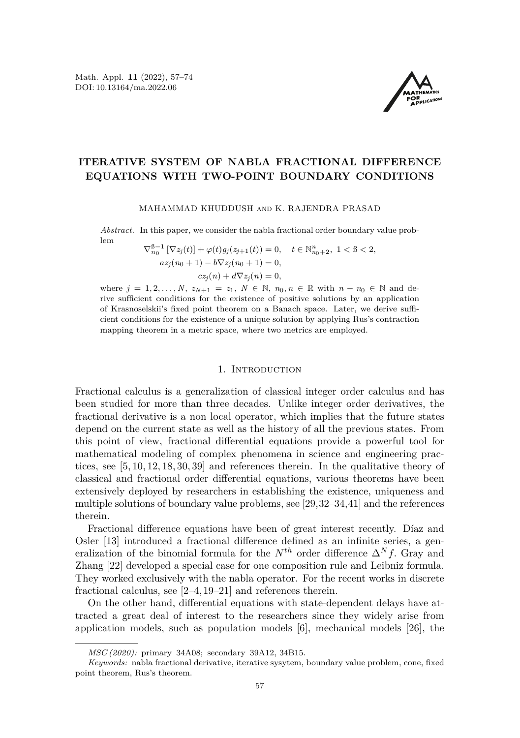

# **ITERATIVE SYSTEM OF NABLA FRACTIONAL DIFFERENCE EQUATIONS WITH TWO-POINT BOUNDARY CONDITIONS**

MAHAMMAD KHUDDUSH and K. RAJENDRA PRASAD

*Abstract.* In this paper, we consider the nabla fractional order boundary value problem

 $\nabla_{n_0}^{\mathcal{B}-1} [\nabla z_j(t)] + \varphi(t) g_j(z_{j+1}(t)) = 0, \quad t \in \mathbb{N}_{n_0+2}^n, \ 1 < \mathcal{B} < 2,$  $az_i(n_0 + 1) - b\nabla z_i(n_0 + 1) = 0$  $cz_j(n) + d\nabla z_j(n) = 0,$ 

where  $j = 1, 2, ..., N$ ,  $z_{N+1} = z_1, N \in \mathbb{N}$ ,  $n_0, n \in \mathbb{R}$  with  $n - n_0 \in \mathbb{N}$  and derive sufficient conditions for the existence of positive solutions by an application of Krasnoselskii's fixed point theorem on a Banach space. Later, we derive sufficient conditions for the existence of a unique solution by applying Rus's contraction mapping theorem in a metric space, where two metrics are employed.

# 1. Introduction

Fractional calculus is a generalization of classical integer order calculus and has been studied for more than three decades. Unlike integer order derivatives, the fractional derivative is a non local operator, which implies that the future states depend on the current state as well as the history of all the previous states. From this point of view, fractional differential equations provide a powerful tool for mathematical modeling of complex phenomena in science and engineering practices, see [\[5,](#page-15-1) [10,](#page-15-2) [12,](#page-15-3) [18,](#page-16-0) [30,](#page-16-1) [39\]](#page-16-2) and references therein. In the qualitative theory of classical and fractional order differential equations, various theorems have been extensively deployed by researchers in establishing the existence, uniqueness and multiple solutions of boundary value problems, see [\[29,](#page-16-3)[32–](#page-16-4)[34,](#page-16-5)[41\]](#page-17-0) and the references therein.

Fractional difference equations have been of great interest recently. Díaz and Osler [\[13\]](#page-15-4) introduced a fractional difference defined as an infinite series, a generalization of the binomial formula for the  $N^{th}$  order difference  $\Delta^N f$ . Gray and Zhang [\[22\]](#page-16-6) developed a special case for one composition rule and Leibniz formula. They worked exclusively with the nabla operator. For the recent works in discrete fractional calculus, see [\[2](#page-15-5)[–4,](#page-15-6) [19](#page-16-7)[–21\]](#page-16-8) and references therein.

On the other hand, differential equations with state-dependent delays have attracted a great deal of interest to the researchers since they widely arise from application models, such as population models [\[6\]](#page-15-7), mechanical models [\[26\]](#page-16-9), the

*MSC (2020):* primary 34A08; secondary 39A12, 34B15.

*Keywords:* nabla fractional derivative, iterative sysytem, boundary value problem, cone, fixed point theorem, Rus's theorem.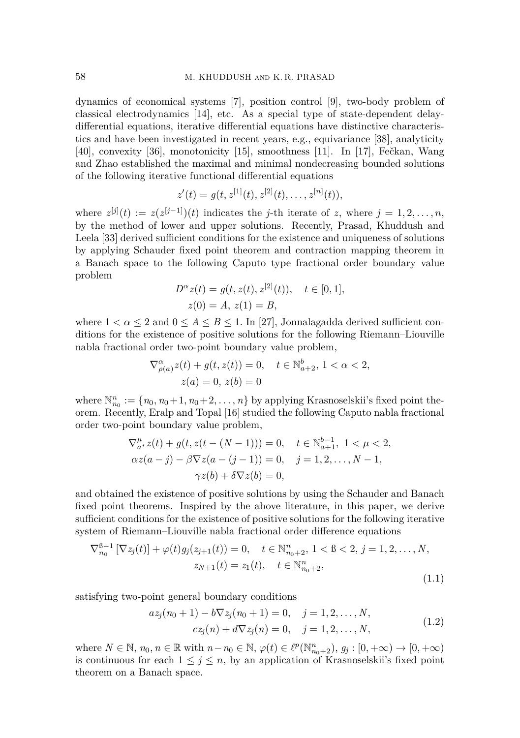dynamics of economical systems [\[7\]](#page-15-8), position control [\[9\]](#page-15-9), two-body problem of classical electrodynamics [\[14\]](#page-15-10), etc. As a special type of state-dependent delaydifferential equations, iterative differential equations have distinctive characteristics and have been investigated in recent years, e.g., equivariance [\[38\]](#page-16-10), analyticity [\[40\]](#page-17-1), convexity [\[36\]](#page-16-11), monotonicity [\[15\]](#page-16-12), smoothness [\[11\]](#page-15-11). In [\[17\]](#page-16-13), Fečkan, Wang and Zhao established the maximal and minimal nondecreasing bounded solutions of the following iterative functional differential equations

$$
z'(t) = g(t, z^{[1]}(t), z^{[2]}(t), \dots, z^{[n]}(t)),
$$

where  $z^{[j]}(t) := z(z^{[j-1]})(t)$  indicates the *j*-th iterate of *z*, where  $j = 1, 2, \ldots, n$ , by the method of lower and upper solutions. Recently, Prasad, Khuddush and Leela [\[33\]](#page-16-14) derived sufficient conditions for the existence and uniqueness of solutions by applying Schauder fixed point theorem and contraction mapping theorem in a Banach space to the following Caputo type fractional order boundary value problem

$$
D^{\alpha} z(t) = g(t, z(t), z^{[2]}(t)), \quad t \in [0, 1],
$$
  
 
$$
z(0) = A, z(1) = B,
$$

where  $1 < \alpha \leq 2$  and  $0 \leq A \leq B \leq 1$ . In [\[27\]](#page-16-15), Jonnalagadda derived sufficient conditions for the existence of positive solutions for the following Riemann–Liouville nabla fractional order two-point boundary value problem,

$$
\nabla_{\rho(a)}^{\alpha} z(t) + g(t, z(t)) = 0, \quad t \in \mathbb{N}_{a+2}^{b}, 1 < \alpha < 2,
$$
  

$$
z(a) = 0, z(b) = 0
$$

where  $\mathbb{N}_{n_0}^n := \{n_0, n_0+1, n_0+2, \ldots, n\}$  by applying Krasnoselskii's fixed point theorem. Recently, Eralp and Topal [\[16\]](#page-16-16) studied the following Caputo nabla fractional order two-point boundary value problem,

$$
\nabla_{a^*}^{\mu} z(t) + g(t, z(t - (N - 1))) = 0, \quad t \in \mathbb{N}_{a+1}^{b-1}, 1 < \mu < 2,
$$
  
\n
$$
\alpha z(a - j) - \beta \nabla z(a - (j - 1)) = 0, \quad j = 1, 2, ..., N - 1,
$$
  
\n
$$
\gamma z(b) + \delta \nabla z(b) = 0,
$$

and obtained the existence of positive solutions by using the Schauder and Banach fixed point theorems. Inspired by the above literature, in this paper, we derive sufficient conditions for the existence of positive solutions for the following iterative system of Riemann–Liouville nabla fractional order difference equations

$$
\nabla_{n_0}^{8-1} \left[ \nabla z_j(t) \right] + \varphi(t) g_j(z_{j+1}(t)) = 0, \quad t \in \mathbb{N}_{n_0+2}^n, 1 < 8 < 2, j = 1, 2, \dots, N,
$$
  

$$
z_{N+1}(t) = z_1(t), \quad t \in \mathbb{N}_{n_0+2}^n,
$$
  
(1.1)

satisfying two-point general boundary conditions

<span id="page-1-1"></span>
$$
az_j(n_0+1) - b\nabla z_j(n_0+1) = 0, \quad j = 1, 2, ..., N,
$$
  

$$
cz_j(n) + d\nabla z_j(n) = 0, \quad j = 1, 2, ..., N,
$$
 (1.2)

<span id="page-1-0"></span>*b*−1

where  $N \in \mathbb{N}$ ,  $n_0, n \in \mathbb{R}$  with  $n - n_0 \in \mathbb{N}$ ,  $\varphi(t) \in \ell^p(\mathbb{N}_{n_0+2}^n)$ ,  $g_j : [0, +\infty) \to [0, +\infty)$ is continuous for each  $1 \leq j \leq n$ , by an application of Krasnoselskii's fixed point theorem on a Banach space.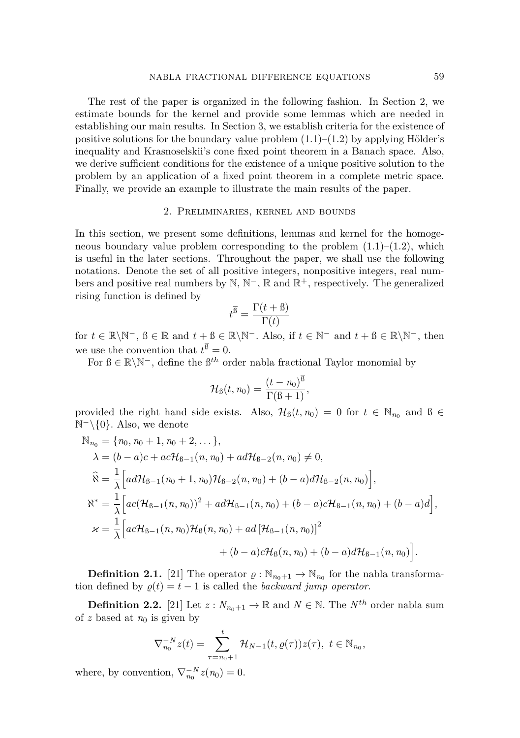The rest of the paper is organized in the following fashion. In Section 2, we estimate bounds for the kernel and provide some lemmas which are needed in establishing our main results. In Section 3, we establish criteria for the existence of positive solutions for the boundary value problem  $(1.1)–(1.2)$  $(1.1)–(1.2)$  by applying Hölder's inequality and Krasnoselskii's cone fixed point theorem in a Banach space. Also, we derive sufficient conditions for the existence of a unique positive solution to the problem by an application of a fixed point theorem in a complete metric space. Finally, we provide an example to illustrate the main results of the paper.

#### 2. Preliminaries, kernel and bounds

In this section, we present some definitions, lemmas and kernel for the homogeneous boundary value problem corresponding to the problem  $(1.1)$ – $(1.2)$ , which is useful in the later sections. Throughout the paper, we shall use the following notations. Denote the set of all positive integers, nonpositive integers, real numbers and positive real numbers by  $\mathbb{N}, \mathbb{N}^-$ ,  $\mathbb{R}$  and  $\mathbb{R}^+$ , respectively. The generalized rising function is defined by

$$
t^{\overline{\mathbf{B}}} = \frac{\Gamma(t + \mathbf{B})}{\Gamma(t)}
$$

for  $t \in \mathbb{R} \backslash \mathbb{N}^-$ ,  $\beta \in \mathbb{R}$  and  $t + \beta \in \mathbb{R} \backslash \mathbb{N}^-$ . Also, if  $t \in \mathbb{N}^-$  and  $t + \beta \in \mathbb{R} \backslash \mathbb{N}^-$ , then we use the convention that  $t^{\beta} = 0$ .

For  $\mathcal{B} \in \mathbb{R} \backslash \mathbb{N}^-$ , define the  $\mathcal{B}^{th}$  order nabla fractional Taylor monomial by

$$
\mathcal{H}_{\text{B}}(t, n_0) = \frac{(t - n_0)^{\overline{\text{B}}}}{\Gamma(\text{B} + 1)},
$$

provided the right hand side exists. Also,  $\mathcal{H}_{\mathcal{B}}(t,n_0) = 0$  for  $t \in \mathbb{N}_{n_0}$  and  $\mathcal{B} \in$ N <sup>−</sup>\{0}*.* Also, we denote

$$
N_{n_0} = \{n_0, n_0 + 1, n_0 + 2, \dots\},
$$
  
\n
$$
\lambda = (b - a)c + ac\mathcal{H}_{B-1}(n, n_0) + ad\mathcal{H}_{B-2}(n, n_0) \neq 0,
$$
  
\n
$$
\hat{\aleph} = \frac{1}{\lambda} \Big[ ad\mathcal{H}_{B-1}(n_0 + 1, n_0) \mathcal{H}_{B-2}(n, n_0) + (b - a)d\mathcal{H}_{B-2}(n, n_0) \Big],
$$
  
\n
$$
\aleph^* = \frac{1}{\lambda} \Big[ ac(\mathcal{H}_{B-1}(n, n_0))^2 + ad\mathcal{H}_{B-1}(n, n_0) + (b - a)c\mathcal{H}_{B-1}(n, n_0) + (b - a)d \Big],
$$
  
\n
$$
\varkappa = \frac{1}{\lambda} \Big[ ac\mathcal{H}_{B-1}(n, n_0)\mathcal{H}_{B}(n, n_0) + ad\left[\mathcal{H}_{B-1}(n, n_0)\right]^2
$$
  
\n
$$
+ (b - a)c\mathcal{H}_{B}(n, n_0) + (b - a)d\mathcal{H}_{B-1}(n, n_0) \Big].
$$

**Definition 2.1.** [\[21\]](#page-16-8) The operator  $\rho : \mathbb{N}_{n_0+1} \to \mathbb{N}_{n_0}$  for the nabla transformation defined by  $\rho(t) = t - 1$  is called the *backward jump operator*.

**Definition 2.2.** [\[21\]](#page-16-8) Let  $z: N_{n_0+1} \to \mathbb{R}$  and  $N \in \mathbb{N}$ . The  $N^{th}$  order nabla sum of  $z$  based at  $n_0$  is given by

$$
\nabla_{n_0}^{-N} z(t) = \sum_{\tau=n_0+1}^t \mathcal{H}_{N-1}(t, \varrho(\tau)) z(\tau), \ t \in \mathbb{N}_{n_0},
$$

where, by convention,  $\nabla_{n_0}^{-N}z(n_0) = 0$ .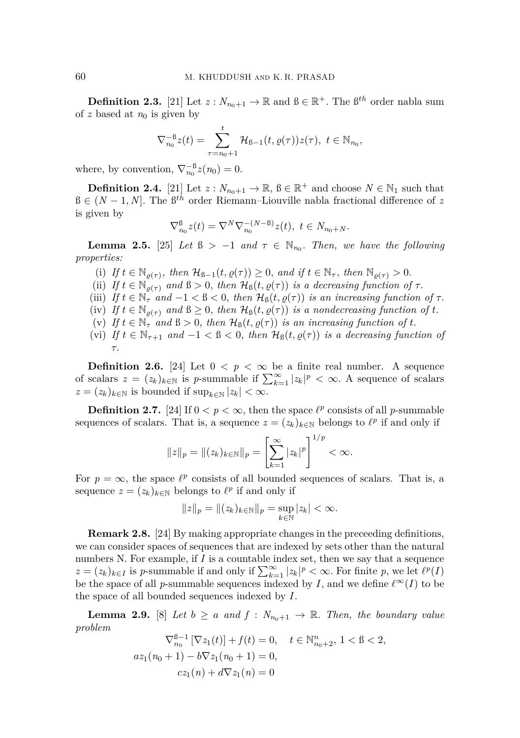**Definition 2.3.** [\[21\]](#page-16-8) Let  $z: N_{n_0+1} \to \mathbb{R}$  and  $\mathcal{B} \in \mathbb{R}^+$ . The  $\mathcal{B}^{th}$  order nabla sum of  $z$  based at  $n_0$  is given by

$$
\nabla_{n_0}^{-\beta} z(t) = \sum_{\tau=n_0+1}^t \mathcal{H}_{\beta-1}(t, \varrho(\tau)) z(\tau), \ t \in \mathbb{N}_{n_0},
$$

where, by convention,  $\nabla_{n_0}^{-\beta} z(n_0) = 0$ .

**Definition 2.4.** [\[21\]](#page-16-8) Let  $z: N_{n_0+1} \to \mathbb{R}$ ,  $\mathbb{B} \in \mathbb{R}^+$  and choose  $N \in \mathbb{N}_1$  such that ß ∈ (*N* − 1*, N*]*.* The ß*th* order Riemann–Liouville nabla fractional difference of *z* is given by

$$
\nabla_{n_0}^{\mathcal{B}} z(t) = \nabla^N \nabla_{n_0}^{-(N-\mathcal{B})} z(t), \ t \in N_{n_0+N}.
$$

<span id="page-3-0"></span>**Lemma 2.5.** [\[25\]](#page-16-17) *Let*  $\mathbb{B} > -1$  *and*  $\tau \in \mathbb{N}_{n_0}$ *. Then, we have the following properties:*

- (i) If  $t \in \mathbb{N}_{\varrho(\tau)}$ , then  $\mathcal{H}_{\beta-1}(t, \varrho(\tau)) \geq 0$ , and if  $t \in \mathbb{N}_{\tau}$ , then  $\mathbb{N}_{\varrho(\tau)} > 0$ .
- (ii) *If*  $t \in \mathbb{N}_{\rho(\tau)}$  *and*  $\beta > 0$ *, then*  $\mathcal{H}_{\beta}(t, \rho(\tau))$  *is a decreasing function of*  $\tau$ *.*
- (iii) *If*  $t \in \mathbb{N}_{\tau}$  *and*  $-1 < \beta < 0$ , *then*  $\mathcal{H}_{\beta}(t, \varrho(\tau))$  *is an increasing function of*  $\tau$ .
- (iv) If  $t \in \mathbb{N}_{\rho(\tau)}$  and  $\beta \geq 0$ , then  $\mathcal{H}_{\beta}(t, \varrho(\tau))$  is a nondecreasing function of t.
- (v) If  $t \in \mathbb{N}_{\tau}$  and  $\beta > 0$ , then  $\mathcal{H}_{\beta}(t, \varrho(\tau))$  is an increasing function of  $t$ .
- (vi) *If*  $t \in \mathbb{N}_{\tau+1}$  *and*  $-1 < \beta < 0$ *, then*  $\mathcal{H}_{\beta}(t, \varrho(\tau))$  *is a decreasing function of τ.*

**Definition 2.6.** [\[24\]](#page-16-18) Let  $0 < p < \infty$  be a finite real number. A sequence of scalars  $z = (z_k)_{k \in \mathbb{N}}$  is *p*-summable if  $\sum_{k=1}^{\infty} |z_k|^p < \infty$ . A sequence of scalars  $z = (z_k)_{k \in \mathbb{N}}$  is bounded if  $\sup_{k \in \mathbb{N}} |z_k| < \infty$ .

**Definition 2.7.** [\[24\]](#page-16-18) If  $0 < p < \infty$ , then the space  $\ell^p$  consists of all *p*-summable sequences of scalars. That is, a sequence  $z = (z_k)_{k \in \mathbb{N}}$  belongs to  $\ell^p$  if and only if

$$
||z||_p = ||(z_k)_{k \in \mathbb{N}}||_p = \left[\sum_{k=1}^{\infty} |z_k|^p\right]^{1/p} < \infty.
$$

For  $p = \infty$ , the space  $\ell^p$  consists of all bounded sequences of scalars. That is, a sequence  $z = (z_k)_{k \in \mathbb{N}}$  belongs to  $\ell^p$  if and only if

$$
||z||_p = ||(z_k)_{k \in \mathbb{N}}||_p = \sup_{k \in \mathbb{N}} |z_k| < \infty.
$$

**Remark 2.8.** [\[24\]](#page-16-18) By making appropriate changes in the preceeding definitions, we can consider spaces of sequences that are indexed by sets other than the natural numbers N. For example, if  $I$  is a countable index set, then we say that a sequence  $z = (z_k)_{k \in I}$  is *p*-summable if and only if  $\sum_{k=1}^{\infty} |z_k|^p < \infty$ . For finite *p*, we let  $\ell^p(I)$ be the space of all *p*-summable sequences indexed by *I*, and we define  $\ell^{\infty}(I)$  to be the space of all bounded sequences indexed by *I.*

**Lemma 2.9.** [\[8\]](#page-15-12) *Let*  $b \ge a$  *and*  $f : N_{n_0+1} \to \mathbb{R}$ *. Then, the boundary value problem*

$$
\nabla_{n_0}^{\beta-1} \left[ \nabla z_1(t) \right] + f(t) = 0, \quad t \in \mathbb{N}_{n_0+2}^n, 1 < \beta < 2,
$$
\n
$$
az_1(n_0+1) - b\nabla z_1(n_0+1) = 0,
$$
\n
$$
cz_1(n) + d\nabla z_1(n) = 0
$$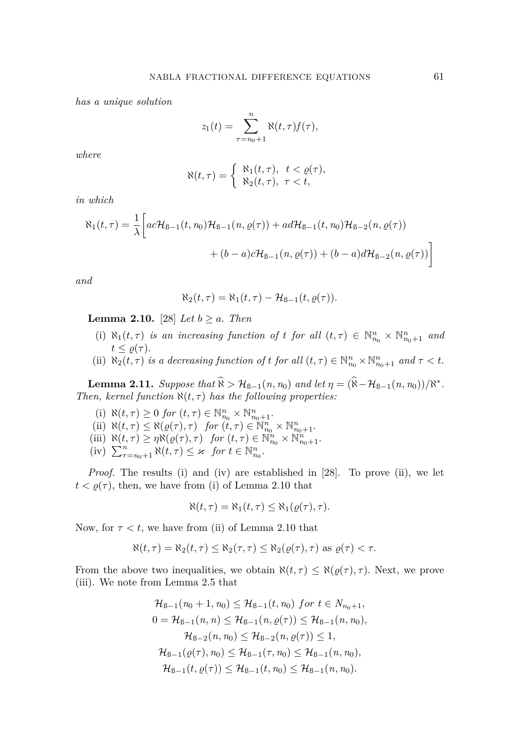*has a unique solution*

$$
z_1(t) = \sum_{\tau=n_0+1}^n \aleph(t,\tau) f(\tau),
$$

*where*

$$
\aleph(t,\tau) = \begin{cases} \aleph_1(t,\tau), & t < \varrho(\tau), \\ \aleph_2(t,\tau), & \tau < t, \end{cases}
$$

*in which*

$$
\aleph_1(t,\tau) = \frac{1}{\lambda} \left[ ac\mathcal{H}_{B-1}(t,n_0)\mathcal{H}_{B-1}(n,\varrho(\tau)) + ad\mathcal{H}_{B-1}(t,n_0)\mathcal{H}_{B-2}(n,\varrho(\tau)) + (b-a)c\mathcal{H}_{B-1}(n,\varrho(\tau)) + (b-a)d\mathcal{H}_{B-2}(n,\varrho(\tau)) \right]
$$

*and*

$$
\aleph_2(t,\tau) = \aleph_1(t,\tau) - \mathcal{H}_{\beta-1}(t,\varrho(\tau)).
$$

<span id="page-4-0"></span>**Lemma 2.10.** [\[28\]](#page-16-19) *Let*  $b \ge a$ . *Then* 

- (i)  $\aleph_1(t,\tau)$  *is an increasing function of t for all*  $(t,\tau) \in \mathbb{N}_{n_0}^n \times \mathbb{N}_{n_0+1}^n$  *and*  $t \leq \varrho(\tau)$ .
- (ii)  $\aleph_2(t, \tau)$  *is a decreasing function of t for all*  $(t, \tau) \in \mathbb{N}_{n_0}^n \times \mathbb{N}_{n_0+1}^n$  *and*  $\tau < t$ .

<span id="page-4-1"></span>**Lemma 2.11.** *Suppose that*  $\hat{\mathbf{X}} > \mathcal{H}_{\mathcal{B}-1}(n, n_0)$  *and let*  $\eta = (\hat{\mathbf{X}} - \mathcal{H}_{\mathcal{B}-1}(n, n_0))/\mathbf{X}^*$ . *Then, kernel function*  $\aleph(t, \tau)$  *has the following properties:* 

- (i)  $\aleph(t,\tau) \geq 0$  *for*  $(t,\tau) \in \mathbb{N}_{n_0}^n \times \mathbb{N}_{n_0+1}^n$ .
- (ii)  $\aleph(t,\tau) \leq \aleph(\varrho(\tau),\tau)$  *for*  $(t,\tau) \in \mathbb{N}_{n_0}^n \times \mathbb{N}_{n_0+1}^n$ .
- (iii)  $\aleph(t,\tau) \geq \eta \aleph(\varrho(\tau),\tau)$  *for*  $(t,\tau) \in \mathbb{N}_{n_0}^n \times \mathbb{N}_{n_0+1}^n$ .
- $\sum_{\tau=n_0+1}^n \aleph(t,\tau) \leq \kappa$  *for*  $t \in \mathbb{N}_{n_0}^n$ .

*Proof.* The results (i) and (iv) are established in [\[28\]](#page-16-19). To prove (ii), we let  $t < \varrho(\tau)$ , then, we have from (i) of Lemma [2.10](#page-4-0) that

$$
\aleph(t,\tau) = \aleph_1(t,\tau) \leq \aleph_1(\varrho(\tau),\tau).
$$

Now, for  $\tau < t$ , we have from (ii) of Lemma [2.10](#page-4-0) that

$$
\aleph(t,\tau) = \aleph_2(t,\tau) \leq \aleph_2(\tau,\tau) \leq \aleph_2(\varrho(\tau),\tau)
$$
 as  $\varrho(\tau) < \tau$ .

From the above two inequalities, we obtain  $\aleph(t, \tau) \leq \aleph(\varrho(\tau), \tau)$ *.* Next, we prove (iii). We note from Lemma [2.5](#page-3-0) that

$$
\mathcal{H}_{B-1}(n_0+1, n_0) \leq \mathcal{H}_{B-1}(t, n_0) \text{ for } t \in N_{n_0+1},
$$
  
\n
$$
0 = \mathcal{H}_{B-1}(n, n) \leq \mathcal{H}_{B-1}(n, \varrho(\tau)) \leq \mathcal{H}_{B-1}(n, n_0),
$$
  
\n
$$
\mathcal{H}_{B-2}(n, n_0) \leq \mathcal{H}_{B-2}(n, \varrho(\tau)) \leq 1,
$$
  
\n
$$
\mathcal{H}_{B-1}(\varrho(\tau), n_0) \leq \mathcal{H}_{B-1}(\tau, n_0) \leq \mathcal{H}_{B-1}(n, n_0),
$$
  
\n
$$
\mathcal{H}_{B-1}(t, \varrho(\tau)) \leq \mathcal{H}_{B-1}(t, n_0) \leq \mathcal{H}_{B-1}(n, n_0).
$$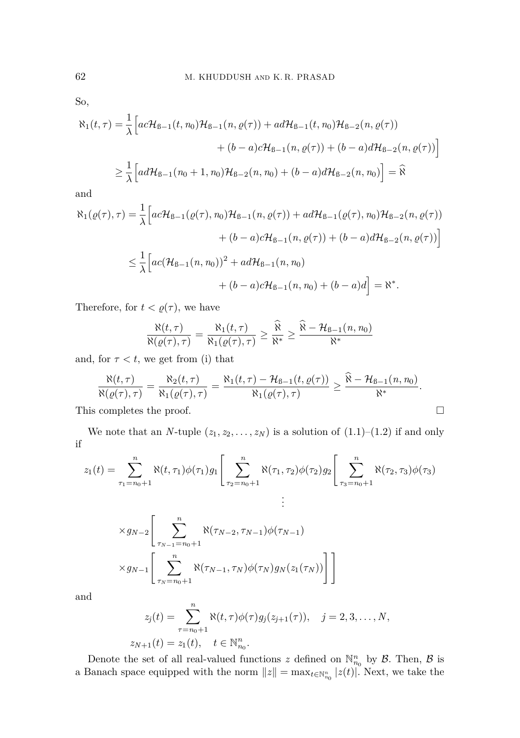So,

$$
\aleph_{1}(t,\tau) = \frac{1}{\lambda} \Big[ ac\mathcal{H}_{B-1}(t,n_{0})\mathcal{H}_{B-1}(n,\varrho(\tau)) + ad\mathcal{H}_{B-1}(t,n_{0})\mathcal{H}_{B-2}(n,\varrho(\tau)) + (b-a)c\mathcal{H}_{B-1}(n,\varrho(\tau)) + (b-a)d\mathcal{H}_{B-2}(n,\varrho(\tau)) \Big]
$$
  

$$
\geq \frac{1}{\lambda} \Big[ ad\mathcal{H}_{B-1}(n_{0}+1,n_{0})\mathcal{H}_{B-2}(n,n_{0}) + (b-a)d\mathcal{H}_{B-2}(n,n_{0}) \Big] = \widehat{\aleph}
$$

and

$$
\aleph_{1}(\varrho(\tau),\tau) = \frac{1}{\lambda} \Big[ ac\mathcal{H}_{B-1}(\varrho(\tau),n_{0})\mathcal{H}_{B-1}(n,\varrho(\tau)) + ad\mathcal{H}_{B-1}(\varrho(\tau),n_{0})\mathcal{H}_{B-2}(n,\varrho(\tau)) + (b-a)c\mathcal{H}_{B-1}(n,\varrho(\tau)) + (b-a)d\mathcal{H}_{B-2}(n,\varrho(\tau)) \Big]
$$
  

$$
\leq \frac{1}{\lambda} \Big[ ac(\mathcal{H}_{B-1}(n,n_{0}))^{2} + ad\mathcal{H}_{B-1}(n,n_{0}) + (b-a)d\Big] = \aleph^{*}.
$$

Therefore, for  $t < \varrho(\tau)$ , we have

$$
\frac{\aleph(t,\tau)}{\aleph(\varrho(\tau),\tau)} = \frac{\aleph_1(t,\tau)}{\aleph_1(\varrho(\tau),\tau)} \ge \frac{\widehat{\aleph}}{\aleph^*} \ge \frac{\widehat{\aleph} - \mathcal{H}_{\beta-1}(n,n_0)}{\aleph^*}
$$

and, for  $\tau < t$ , we get from (i) that

$$
\frac{\aleph(t,\tau)}{\aleph(\varrho(\tau),\tau)}=\frac{\aleph_2(t,\tau)}{\aleph_1(\varrho(\tau),\tau)}=\frac{\aleph_1(t,\tau)-\mathcal{H}_{\text{B}-1}(t,\varrho(\tau))}{\aleph_1(\varrho(\tau),\tau)}\geq \frac{\aleph-\mathcal{H}_{\text{B}-1}(n,n_0)}{\aleph^*}.
$$

This completes the proof.  $\hfill \square$ 

We note that an *N*-tuple  $(z_1, z_2, \ldots, z_N)$  is a solution of  $(1.1)$ – $(1.2)$  if and only if

$$
z_1(t) = \sum_{\tau_1=n_0+1}^{n} \aleph(t, \tau_1) \phi(\tau_1) g_1 \left[ \sum_{\tau_2=n_0+1}^{n} \aleph(\tau_1, \tau_2) \phi(\tau_2) g_2 \left[ \sum_{\tau_3=n_0+1}^{n} \aleph(\tau_2, \tau_3) \phi(\tau_3) \right] \right]
$$

$$
\times g_{N-2}\left[\sum_{\tau_{N-1}=n_0+1}^{n} \aleph(\tau_{N-2}, \tau_{N-1})\phi(\tau_{N-1})\n\n\times g_{N-1}\left[\sum_{\tau_{N}=n_0+1}^{n} \aleph(\tau_{N-1}, \tau_N)\phi(\tau_N)g_N(z_1(\tau_N))\right]\right]
$$

and

$$
z_j(t) = \sum_{\tau=n_0+1}^n \aleph(t,\tau)\phi(\tau)g_j(z_{j+1}(\tau)), \quad j = 2,3,\ldots,N,
$$
  

$$
z_{N+1}(t) = z_1(t), \quad t \in \mathbb{N}_{n_0}^n.
$$

Denote the set of all real-valued functions  $z$  defined on  $\mathbb{N}_{n_0}^n$  by  $\mathcal{B}$ . Then,  $\mathcal{B}$  is a Banach space equipped with the norm  $||z|| = \max_{t \in \mathbb{N}_{n_0}^n} |z(t)|$ . Next, we take the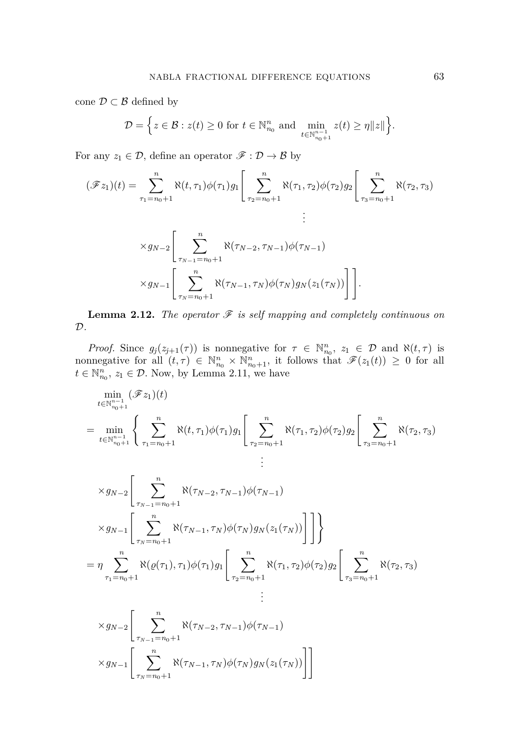cone $\mathcal{D}\subset\mathcal{B}$  defined by

$$
\mathcal{D} = \left\{ z \in \mathcal{B} : z(t) \geq 0 \text{ for } t \in \mathbb{N}_{n_0}^n \text{ and } \min_{t \in \mathbb{N}_{n_0+1}^{n-1}} z(t) \geq \eta \|z\| \right\}.
$$

For any  $z_1 \in \mathcal{D}$ , define an operator  $\mathscr{F} : \mathcal{D} \to \mathcal{B}$  by

$$
(\mathscr{F}z_1)(t) = \sum_{\tau_1=n_0+1}^{n} \aleph(t, \tau_1)\phi(\tau_1)g_1\left[\sum_{\tau_2=n_0+1}^{n} \aleph(\tau_1, \tau_2)\phi(\tau_2)g_2\right]\left[\sum_{\tau_3=n_0+1}^{n} \aleph(\tau_2, \tau_3)\right]
$$
  

$$
\times g_{N-2}\left[\sum_{\tau_{N-1}=n_0+1}^{n} \aleph(\tau_{N-2}, \tau_{N-1})\phi(\tau_{N-1})\right]
$$
  

$$
\times g_{N-1}\left[\sum_{\tau_N=n_0+1}^{n} \aleph(\tau_{N-1}, \tau_N)\phi(\tau_N)g_N(z_1(\tau_N))\right]\right].
$$

**Lemma 2.12.** *The operator*  $\mathcal F$  *is self mapping and completely continuous on* D*.*

*Proof.* Since  $g_j(z_{j+1}(\tau))$  is nonnegative for  $\tau \in \mathbb{N}_{n_0}^n$ ,  $z_1 \in \mathcal{D}$  and  $\aleph(t,\tau)$  is nonnegative for all  $(t, \tau) \in \mathbb{N}_{n_0}^n \times \mathbb{N}_{n_0+1}^n$ , it follows that  $\mathscr{F}(z_1(t)) \geq 0$  for all  $t \in \mathbb{N}_{n_0}^n$ ,  $z_1 \in \mathcal{D}$ . Now, by Lemma [2.11,](#page-4-1) we have

$$
\min_{t \in \mathbb{N}_{n_0+1}^{n-1}} (\mathscr{F}z_1)(t)
$$
\n
$$
= \min_{t \in \mathbb{N}_{n_0+1}^{n-1}} \left\{ \sum_{\tau_1 = n_0+1}^{n} \aleph(t, \tau_1) \phi(\tau_1) g_1 \left[ \sum_{\tau_2 = n_0+1}^{n} \aleph(\tau_1, \tau_2) \phi(\tau_2) g_2 \left[ \sum_{\tau_3 = n_0+1}^{n} \aleph(\tau_2, \tau_3) \right] \right\}
$$
\n
$$
\times g_{N-2} \left[ \sum_{\tau_{N-1} = n_0+1}^{n} \aleph(\tau_{N-2}, \tau_{N-1}) \phi(\tau_{N-1}) \right]
$$
\n
$$
\times g_{N-1} \left[ \sum_{\tau_N = n_0+1}^{n} \aleph(\tau_{N-1}, \tau_N) \phi(\tau_N) g_N(z_1(\tau_N)) \right] \right] \right\}
$$
\n
$$
= \eta \sum_{\tau_1 = n_0+1}^{n} \aleph(\varrho(\tau_1), \tau_1) \phi(\tau_1) g_1 \left[ \sum_{\tau_2 = n_0+1}^{n} \aleph(\tau_1, \tau_2) \phi(\tau_2) g_2 \left[ \sum_{\tau_3 = n_0+1}^{n} \aleph(\tau_2, \tau_3) \right] \right]
$$
\n
$$
\times g_{N-2} \left[ \sum_{\tau_{N-1} = n_0+1}^{n} \aleph(\tau_{N-2}, \tau_{N-1}) \phi(\tau_{N-1}) \right]
$$
\n
$$
\times g_{N-1} \left[ \sum_{\tau_N = n_0+1}^{n} \aleph(\tau_{N-1}, \tau_N) \phi(\tau_N) g_N(z_1(\tau_N)) \right] \right]
$$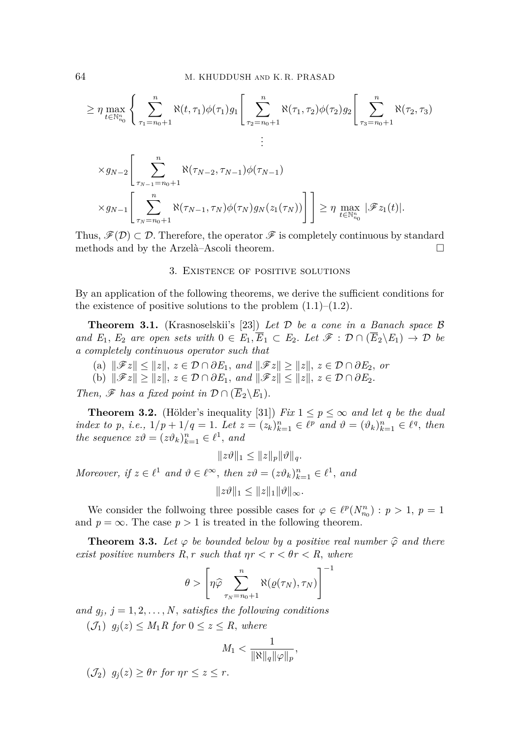$$
\geq \eta \max_{t \in \mathbb{N}_{n_0}^n} \left\{ \sum_{\tau_1 = n_0 + 1}^n \aleph(t, \tau_1) \phi(\tau_1) g_1 \left[ \sum_{\tau_2 = n_0 + 1}^n \aleph(\tau_1, \tau_2) \phi(\tau_2) g_2 \right[ \sum_{\tau_3 = n_0 + 1}^n \aleph(\tau_2, \tau_3) \right] \right\}
$$
  

$$
\times g_{N-2} \left[ \sum_{\tau_{N-1} = n_0 + 1}^n \aleph(\tau_{N-2}, \tau_{N-1}) \phi(\tau_{N-1}) \right]
$$
  

$$
\times g_{N-1} \left[ \sum_{\tau_N = n_0 + 1}^n \aleph(\tau_{N-1}, \tau_N) \phi(\tau_N) g_N(z_1(\tau_N)) \right] \right] \geq \eta \max_{t \in \mathbb{N}_{n_0}^n} |\mathscr{F}z_1(t)|.
$$

Thus,  $\mathscr{F}(D) \subset \mathcal{D}$ . Therefore, the operator  $\mathscr{F}$  is completely continuous by standard methods and by the Arzelà–Ascoli theorem.  $\Box$ 

## 3. Existence of positive solutions

By an application of the following theorems, we derive the sufficient conditions for the existence of positive solutions to the problem  $(1.1)$ – $(1.2)$ .

<span id="page-7-1"></span>**Theorem 3.1.** (Krasnoselskii's [\[23\]](#page-16-20)) *Let* D *be a cone in a Banach space* B *and*  $E_1, E_2$  *are open sets with*  $0 \in E_1, \overline{E}_1 \subset E_2$ . Let  $\mathscr{F} : \mathcal{D} \cap (\overline{E}_2 \backslash E_1) \to \mathcal{D}$  be *a completely continuous operator such that*

- (a) ∥F*z*∥ ≤ ∥*z*∥*, z* ∈ D ∩ *∂E*1*, and* ∥F*z*∥ ≥ ∥*z*∥*, z* ∈ D ∩ *∂E*2*, or*
- (b)  $||\mathscr{F}z|| \ge ||z||$ ,  $z \in \mathcal{D} \cap \partial E_1$ , and  $||\mathscr{F}z|| \le ||z||$ ,  $z \in \mathcal{D} \cap \partial E_2$ .

*Then,*  $\mathscr F$  *has a fixed point in*  $\mathcal D \cap (\overline{E}_2 \backslash E_1)$ *.* 

<span id="page-7-0"></span>**Theorem 3.2.** (Hölder's inequality [\[31\]](#page-16-21)) *Fix*  $1 \leq p \leq \infty$  *and let q be the dual* index to p, i.e.,  $1/p + 1/q = 1$ . Let  $z = (z_k)_{k=1}^n \in \ell^p$  and  $\vartheta = (\vartheta_k)_{k=1}^n \in \ell^q$ , then *the sequence*  $z\vartheta = (z\vartheta_k)_{k=1}^n \in \ell^1$ , and

 $||zθ||_1 ≤ ||z||_p ||θ||_q$ .

*Moreover, if*  $z \in \ell^1$  *and*  $\vartheta \in \ell^\infty$ *, then*  $z\vartheta = (z\vartheta_k)_{k=1}^n \in \ell^1$ *, and* 

 $||zθ||_1 < ||z||_1 ||θ||_{∞}$ .

We consider the follwoing three possible cases for  $\varphi \in \ell^p(N^n_{n_0}) : p > 1, p = 1$ and  $p = \infty$ . The case  $p > 1$  is treated in the following theorem.

<span id="page-7-2"></span>**Theorem 3.3.** Let  $\varphi$  be bounded below by a positive real number  $\widehat{\varphi}$  and there *exist positive numbers*  $R, r$  *such that*  $\eta r < r < \theta r < R$ *, where* 

$$
\theta > \left[ \eta \hat{\varphi} \sum_{\tau_N = n_0 + 1}^{n} \aleph(\varrho(\tau_N), \tau_N) \right]^{-1}
$$

and  $g_i$ ,  $j = 1, 2, \ldots, N$ *, satisfies the following conditions* 

(J1) *gj*(*z*) ≤ *M*1*R for* 0 ≤ *z* ≤ *R, where*

$$
M_1<\frac{1}{\|\aleph\|_q\|\varphi\|_p},
$$

 $(\mathcal{J}_2)$   $g_i(z) \geq \theta r$  for  $\eta r \leq z \leq r$ .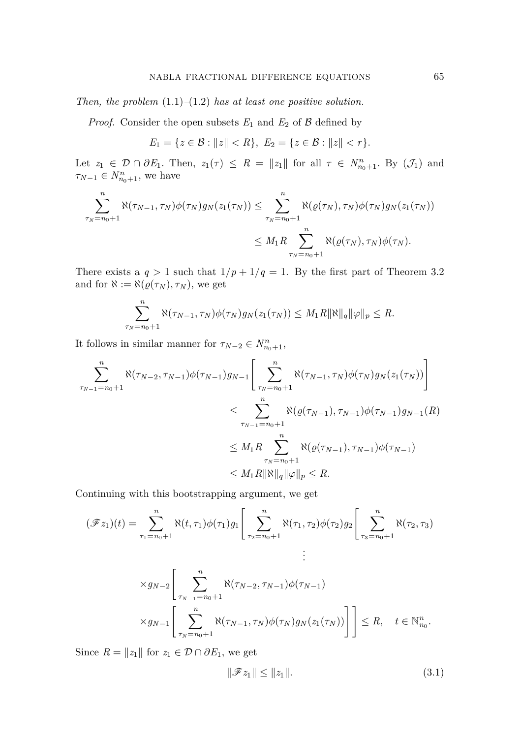*Then, the problem* [\(1.1\)](#page-1-0)*–*[\(1.2\)](#page-1-1) *has at least one positive solution.*

*Proof.* Consider the open subsets  $E_1$  and  $E_2$  of  $\beta$  defined by

$$
E_1 = \{ z \in \mathcal{B} : ||z|| < R \}, \ E_2 = \{ z \in \mathcal{B} : ||z|| < r \}.
$$

Let  $z_1 \in \mathcal{D} \cap \partial E_1$ . Then,  $z_1(\tau) \leq R = ||z_1||$  for all  $\tau \in N^n_{n_0+1}$ . By  $(\mathcal{J}_1)$  and  $\tau_{N-1} \in N_{n_0+1}^n$ , we have

$$
\sum_{\tau_N=n_0+1}^n \aleph(\tau_{N-1},\tau_N)\phi(\tau_N)g_N(z_1(\tau_N)) \leq \sum_{\tau_N=n_0+1}^n \aleph(\varrho(\tau_N),\tau_N)\phi(\tau_N)g_N(z_1(\tau_N))
$$
  

$$
\leq M_1 R \sum_{\tau_N=n_0+1}^n \aleph(\varrho(\tau_N),\tau_N)\phi(\tau_N).
$$

There exists a  $q > 1$  such that  $1/p + 1/q = 1$ . By the first part of Theorem [3.2](#page-7-0) and for  $\aleph := \aleph(\varrho(\tau_N), \tau_N)$ , we get

$$
\sum_{\tau_N=n_0+1}^n \aleph(\tau_{N-1}, \tau_N)\phi(\tau_N)g_N(z_1(\tau_N)) \leq M_1R \|\aleph\|_q \|\varphi\|_p \leq R.
$$

It follows in similar manner for  $\tau_{N-2} \in N_{n_0+1}^n$ ,

$$
\sum_{\tau_{N-1}=n_{0}+1}^{n} \aleph(\tau_{N-2}, \tau_{N-1})\phi(\tau_{N-1})g_{N-1}\left[\sum_{\tau_{N}=n_{0}+1}^{n} \aleph(\tau_{N-1}, \tau_{N})\phi(\tau_{N})g_{N}(z_{1}(\tau_{N}))\right]
$$
  

$$
\leq \sum_{\tau_{N-1}=n_{0}+1}^{n} \aleph(\varrho(\tau_{N-1}), \tau_{N-1})\phi(\tau_{N-1})g_{N-1}(R)
$$
  

$$
\leq M_{1}R \sum_{\tau_{N}=n_{0}+1}^{n} \aleph(\varrho(\tau_{N-1}), \tau_{N-1})\phi(\tau_{N-1})
$$
  

$$
\leq M_{1}R \|\aleph\|_{q}\|\varphi\|_{p} \leq R.
$$

Continuing with this bootstrapping argument, we get

$$
(\mathscr{F}z_1)(t) = \sum_{\tau_1=n_0+1}^{n} \aleph(t, \tau_1)\phi(\tau_1)g_1\left[\sum_{\tau_2=n_0+1}^{n} \aleph(\tau_1, \tau_2)\phi(\tau_2)g_2\right]\left[\sum_{\tau_3=n_0+1}^{n} \aleph(\tau_2, \tau_3)\right]
$$
  

$$
\times g_{N-2}\left[\sum_{\tau_{N-1}=n_0+1}^{n} \aleph(\tau_{N-2}, \tau_{N-1})\phi(\tau_{N-1})\right]
$$
  

$$
\times g_{N-1}\left[\sum_{\tau_N=n_0+1}^{n} \aleph(\tau_{N-1}, \tau_N)\phi(\tau_N)g_N(z_1(\tau_N))\right]\right] \le R, \quad t \in \mathbb{N}_{n_0}^n.
$$

Since  $R = ||z_1||$  for  $z_1 \in \mathcal{D} \cap \partial E_1$ , we get

<span id="page-8-0"></span>
$$
\|\mathcal{F}z_1\| \le \|z_1\|.\tag{3.1}
$$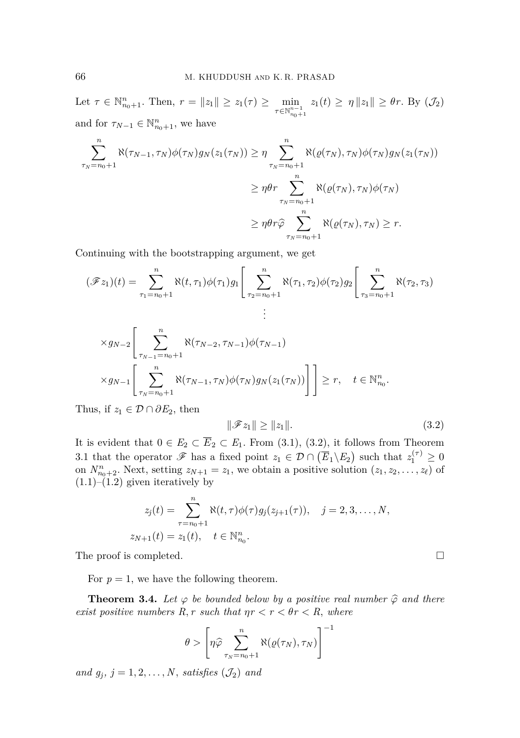Let  $\tau \in \mathbb{N}_{n_0+1}^n$ . Then,  $r = ||z_1|| \ge z_1(\tau) \ge \min_{\tau \in \mathbb{N}_{n_0+1}^{n-1}}$  $z_1(t) \geq \eta \|z_1\| \geq \theta r$ . By  $(\mathcal{J}_2)$ and for  $\tau_{N-1} \in \mathbb{N}_{n_0+1}^n$ , we have

$$
\sum_{\tau_N=n_0+1}^{n} \aleph(\tau_{N-1}, \tau_N)\phi(\tau_N)g_N(z_1(\tau_N)) \ge \eta \sum_{\tau_N=n_0+1}^{n} \aleph(\varrho(\tau_N), \tau_N)\phi(\tau_N)g_N(z_1(\tau_N))
$$

$$
\ge \eta \theta r \sum_{\tau_N=n_0+1}^{n} \aleph(\varrho(\tau_N), \tau_N)\phi(\tau_N)
$$

$$
\ge \eta \theta r \widehat{\varphi} \sum_{\tau_N=n_0+1}^{n} \aleph(\varrho(\tau_N), \tau_N) \ge r.
$$

Continuing with the bootstrapping argument, we get

$$
(\mathscr{F}z_1)(t) = \sum_{\tau_1=n_0+1}^{n} \aleph(t, \tau_1)\phi(\tau_1)g_1\Bigg[\sum_{\tau_2=n_0+1}^{n} \aleph(\tau_1, \tau_2)\phi(\tau_2)g_2\Bigg[\sum_{\tau_3=n_0+1}^{n} \aleph(\tau_2, \tau_3)
$$

$$
\times g_{N-2} \Bigg[ \sum_{\tau_{N-1} = n_0 + 1}^{n} \aleph(\tau_{N-2}, \tau_{N-1}) \phi(\tau_{N-1})
$$
  
 
$$
\times g_{N-1} \Bigg[ \sum_{\tau_{N} = n_0 + 1}^{n} \aleph(\tau_{N-1}, \tau_N) \phi(\tau_N) g_N(z_1(\tau_N)) \Bigg] \Bigg] \ge r, \quad t \in \mathbb{N}_{n_0}^n.
$$

Thus, if  $z_1 \in \mathcal{D} \cap \partial E_2$ , then

<span id="page-9-0"></span>
$$
\|\mathcal{F}z_1\| \ge \|z_1\|.\tag{3.2}
$$

It is evident that  $0 \in E_2 \subset \overline{E}_2 \subset E_1$ . From [\(3.1\)](#page-8-0), [\(3.2\)](#page-9-0), it follows from Theorem [3.1](#page-7-1) that the operator  $\mathscr{F}$  has a fixed point  $z_1 \in \mathcal{D} \cap (\overline{E}_1 \backslash E_2)$  such that  $z_1^{(\tau)} \geq 0$ on  $N_{n_0+2}^n$ . Next, setting  $z_{N+1} = z_1$ , we obtain a positive solution  $(z_1, z_2, \ldots, z_\ell)$  of  $(1.1)$ – $(1.2)$  given iteratively by

$$
z_j(t) = \sum_{\tau=n_0+1}^n \aleph(t, \tau) \phi(\tau) g_j(z_{j+1}(\tau)), \quad j = 2, 3, ..., N,
$$
  

$$
z_{N+1}(t) = z_1(t), \quad t \in \mathbb{N}_{n_0}^n.
$$

The proof is completed. □

For  $p = 1$ , we have the following theorem.

<span id="page-9-1"></span>**Theorem 3.4.** Let  $\varphi$  be bounded below by a positive real number  $\widehat{\varphi}$  and there *exist positive numbers*  $R, r$  *such that*  $\eta r < r < \theta r < R$ *, where* 

$$
\theta > \left[ \eta \hat{\varphi} \sum_{\tau_N = n_0 + 1}^{n} \aleph(\varrho(\tau_N), \tau_N) \right]^{-1}
$$

*and*  $g_j$ *,*  $j = 1, 2, \ldots, N$ *, satisfies*  $(\mathcal{J}_2)$  *and*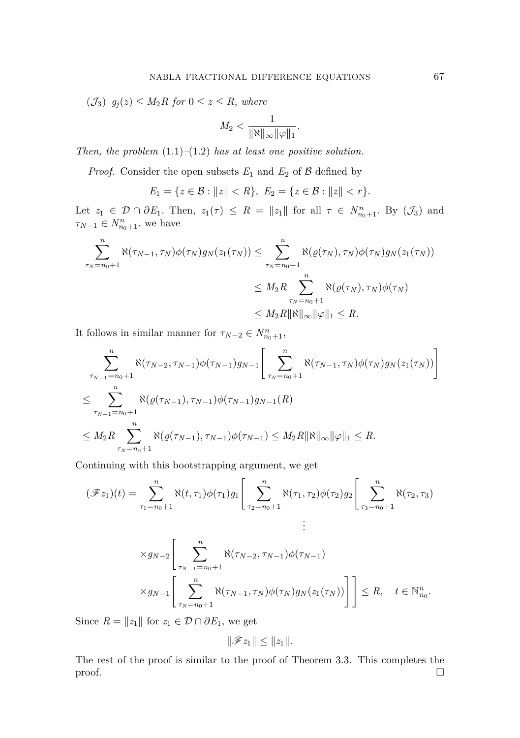$(\mathcal{J}_3)$   $g_j(z) \leq M_2R$  for  $0 \leq z \leq R$ *, where* 

$$
M_2<\frac{1}{\|\aleph\|_{\infty}\|\varphi\|_1}.
$$

*Then, the problem* [\(1.1\)](#page-1-0)*–*[\(1.2\)](#page-1-1) *has at least one positive solution.*

*Proof.* Consider the open subsets  $E_1$  and  $E_2$  of  $\beta$  defined by

$$
E_1 = \{ z \in \mathcal{B} : ||z|| < R \}, \ E_2 = \{ z \in \mathcal{B} : ||z|| < r \}.
$$

Let  $z_1 \in \mathcal{D} \cap \partial E_1$ . Then,  $z_1(\tau) \leq R = ||z_1||$  for all  $\tau \in N^n_{n_0+1}$ . By  $(\mathcal{J}_3)$  and  $\tau_{N-1} \in N_{n_0+1}^n$ , we have

$$
\sum_{\tau_N=n_0+1}^{n} \aleph(\tau_{N-1}, \tau_N) \phi(\tau_N) g_N(z_1(\tau_N)) \leq \sum_{\tau_N=n_0+1}^{n} \aleph(\varrho(\tau_N), \tau_N) \phi(\tau_N) g_N(z_1(\tau_N))
$$
  

$$
\leq M_2 R \sum_{\tau_N=n_0+1}^{n} \aleph(\varrho(\tau_N), \tau_N) \phi(\tau_N)
$$
  

$$
\leq M_2 R \|\aleph\|_{\infty} \|\varphi\|_1 \leq R.
$$

It follows in similar manner for  $\tau_{N-2} \in N_{n_0+1}^n$ ,

$$
\sum_{\substack{\tau_{N-1}=n_0+1\\ \tau_{N-1}=n_0+1}}^{n} \aleph(\tau_{N-2}, \tau_{N-1})\phi(\tau_{N-1})g_{N-1}\left[\sum_{\tau_{N}=n_0+1}^{n} \aleph(\tau_{N-1}, \tau_{N})\phi(\tau_{N})g_{N}(z_{1}(\tau_{N}))\right]
$$
  

$$
\leq \sum_{\tau_{N-1}=n_0+1}^{n} \aleph(\varrho(\tau_{N-1}), \tau_{N-1})\phi(\tau_{N-1})g_{N-1}(R)
$$
  

$$
\leq M_2 R \sum_{\tau_{N}=n_0+1}^{n} \aleph(\varrho(\tau_{N-1}), \tau_{N-1})\phi(\tau_{N-1}) \leq M_2 R \|\aleph\|_{\infty} \|\varphi\|_{1} \leq R.
$$

Continuing with this bootstrapping argument, we get

$$
(\mathscr{F}z_1)(t) = \sum_{\tau_1 = n_0 + 1}^{n} \aleph(t, \tau_1)\phi(\tau_1)g_1\left[\sum_{\tau_2 = n_0 + 1}^{n} \aleph(\tau_1, \tau_2)\phi(\tau_2)g_2\right]\left[\sum_{\tau_3 = n_0 + 1}^{n} \aleph(\tau_2, \tau_3)\right]
$$
  

$$
\times g_{N-2}\left[\sum_{\tau_{N-1} = n_0 + 1}^{n} \aleph(\tau_{N-2}, \tau_{N-1})\phi(\tau_{N-1})\right]
$$
  

$$
\times g_{N-1}\left[\sum_{\tau_N = n_0 + 1}^{n} \aleph(\tau_{N-1}, \tau_N)\phi(\tau_N)g_N(z_1(\tau_N))\right]\right] \le R, \quad t \in \mathbb{N}_{n_0}^n.
$$

Since  $R = ||z_1||$  for  $z_1 \in \mathcal{D} \cap \partial E_1$ , we get

$$
\|\mathscr{F}z_1\|\leq\|z_1\|.
$$

The rest of the proof is similar to the proof of Theorem [3.3.](#page-7-2) This completes the proof.  $\Box$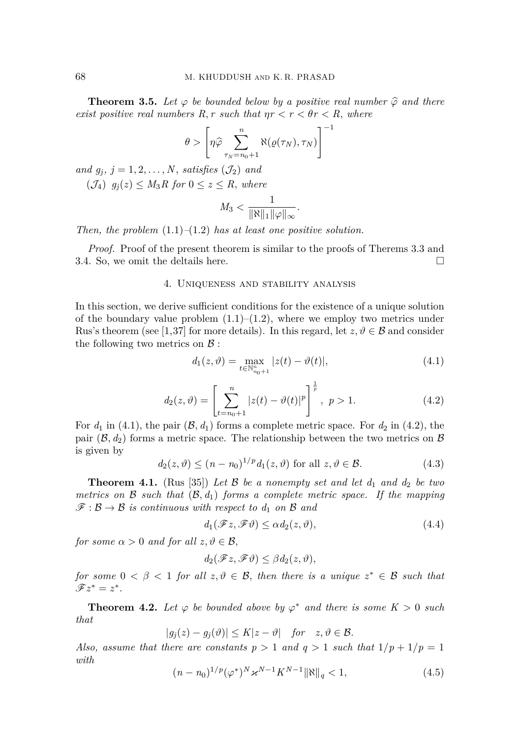**Theorem 3.5.** Let  $\varphi$  be bounded below by a positive real number  $\widehat{\varphi}$  and there *exist positive real numbers*  $R, r$  *such that*  $\eta r < r < \theta r < R$ *, where* 

$$
\theta > \left[ \eta \widehat{\varphi} \sum_{\tau_N = n_0 + 1}^{n} \aleph(\varrho(\tau_N), \tau_N) \right]^{-1}
$$

*and*  $g_j$ *,*  $j = 1, 2, \ldots, N$ *, satisfies*  $(\mathcal{J}_2)$  *and* 

(J4) *gj*(*z*) ≤ *M*3*R for* 0 ≤ *z* ≤ *R, where*

$$
M_3 < \frac{1}{\|\aleph\|_1 \|\varphi\|_{\infty}}.
$$

*Then, the problem* [\(1.1\)](#page-1-0)*–*[\(1.2\)](#page-1-1) *has at least one positive solution.*

*Proof.* Proof of the present theorem is similar to the proofs of Therems [3.3](#page-7-2) and [3.4.](#page-9-1) So, we omit the deltails here.  $\Box$ 

#### 4. Uniqueness and stability analysis

In this section, we derive sufficient conditions for the existence of a unique solution of the boundary value problem  $(1.1)$ – $(1.2)$ , where we employ two metrics under Rus's theorem (see [\[1,](#page-15-13)[37\]](#page-16-22) for more details). In this regard, let  $z, \vartheta \in \mathcal{B}$  and consider the following two metrics on  $\beta$ :

<span id="page-11-0"></span>
$$
d_1(z, \vartheta) = \max_{t \in \mathbb{N}_{n_0+1}^n} |z(t) - \vartheta(t)|,
$$
\n(4.1)

<span id="page-11-1"></span>
$$
d_2(z,\vartheta) = \left[\sum_{t=n_0+1}^{n} |z(t) - \vartheta(t)|^p\right]^{\frac{1}{p}}, \ p > 1.
$$
 (4.2)

For  $d_1$  in [\(4.1\)](#page-11-0), the pair  $(\mathcal{B}, d_1)$  forms a complete metric space. For  $d_2$  in [\(4.2\)](#page-11-1), the pair  $(\mathcal{B}, d_2)$  forms a metric space. The relationship between the two metrics on  $\mathcal{B}$ is given by

<span id="page-11-4"></span>
$$
d_2(z,\vartheta) \le (n - n_0)^{1/p} d_1(z,\vartheta) \text{ for all } z, \vartheta \in \mathcal{B}.
$$
 (4.3)

<span id="page-11-3"></span>**Theorem 4.1.** (Rus [\[35\]](#page-16-23)) Let B be a nonempty set and let  $d_1$  and  $d_2$  be two *metrics on*  $\mathcal{B}$  *such that*  $(\mathcal{B}, d_1)$  *forms a complete metric space. If the mapping*  $\mathscr{F}: \mathcal{B} \to \mathcal{B}$  *is continuous with respect to d<sub>1</sub> on*  $\mathcal{B}$  *and* 

<span id="page-11-2"></span>
$$
d_1(\mathcal{F}z, \mathcal{F}\vartheta) \le \alpha d_2(z, \vartheta),\tag{4.4}
$$

*for some*  $\alpha > 0$  *and for all*  $z, \vartheta \in \mathcal{B}$ ,

$$
d_2(\mathscr{F}z, \mathscr{F}\vartheta) \leq \beta d_2(z, \vartheta),
$$

*for some*  $0 < \beta < 1$  *for all z*,  $\vartheta \in \mathcal{B}$ *, then there is a unique*  $z^* \in \mathcal{B}$  *such that*  $\mathscr{F}z^* = z^*.$ 

<span id="page-11-6"></span>**Theorem 4.2.** Let  $\varphi$  be bounded above by  $\varphi^*$  and there is some  $K > 0$  such *that*

$$
|g_j(z) - g_j(\vartheta)| \le K|z - \vartheta| \quad \text{for} \quad z, \vartheta \in \mathcal{B}.
$$

*Also, assume that there are constants*  $p > 1$  *and*  $q > 1$  *such that*  $1/p + 1/p = 1$ *with*

<span id="page-11-5"></span>
$$
(n - n_0)^{1/p} (\varphi^*)^N \varkappa^{N-1} K^{N-1} ||\aleph||_q < 1,\tag{4.5}
$$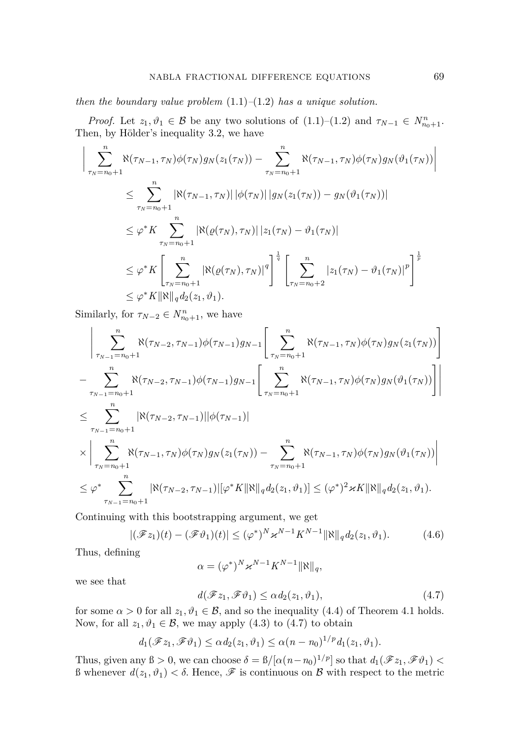*then the boundary value problem* [\(1.1\)](#page-1-0)*–*[\(1.2\)](#page-1-1) *has a unique solution.*

*Proof.* Let  $z_1, \vartheta_1 \in \mathcal{B}$  be any two solutions of  $(1.1)-(1.2)$  $(1.1)-(1.2)$  and  $\tau_{N-1} \in N^n_{n_0+1}$ . Then, by Hölder's inequality [3.2,](#page-7-0) we have

$$
\left| \sum_{\tau_N = n_0 + 1}^{n} \aleph(\tau_{N-1}, \tau_N) \phi(\tau_N) g_N(z_1(\tau_N)) - \sum_{\tau_N = n_0 + 1}^{n} \aleph(\tau_{N-1}, \tau_N) \phi(\tau_N) g_N(\vartheta_1(\tau_N)) \right|
$$
  
\n
$$
\leq \sum_{\tau_N = n_0 + 1}^{n} |\aleph(\tau_{N-1}, \tau_N)| |\phi(\tau_N)| |g_N(z_1(\tau_N)) - g_N(\vartheta_1(\tau_N))|
$$
  
\n
$$
\leq \varphi^* K \sum_{\tau_N = n_0 + 1}^{n} |\aleph(\varrho(\tau_N), \tau_N)| |z_1(\tau_N) - \vartheta_1(\tau_N)|
$$
  
\n
$$
\leq \varphi^* K \left[ \sum_{\tau_N = n_0 + 1}^{n} |\aleph(\varrho(\tau_N), \tau_N)|^q \right]^{\frac{1}{q}} \left[ \sum_{\tau_N = n_0 + 2}^{n} |z_1(\tau_N) - \vartheta_1(\tau_N)|^p \right]^{\frac{1}{p}}
$$
  
\n
$$
\leq \varphi^* K ||\aleph||_q d_2(z_1, \vartheta_1).
$$

Similarly, for  $\tau_{N-2} \in N_{n_0+1}^n$ , we have

$$
\left| \sum_{\substack{\tau_{N-1} = n_0 + 1}}^n \aleph(\tau_{N-2}, \tau_{N-1}) \phi(\tau_{N-1}) g_{N-1} \left[ \sum_{\substack{\tau_N = n_0 + 1}}^n \aleph(\tau_{N-1}, \tau_N) \phi(\tau_N) g_N(z_1(\tau_N)) \right] \right|
$$
  
\n
$$
- \sum_{\substack{\tau_{N-1} = n_0 + 1}}^n \aleph(\tau_{N-2}, \tau_{N-1}) \phi(\tau_{N-1}) g_{N-1} \left[ \sum_{\tau_N = n_0 + 1}^n \aleph(\tau_{N-1}, \tau_N) \phi(\tau_N) g_N(\vartheta_1(\tau_N)) \right] \right|
$$
  
\n
$$
\leq \sum_{\substack{\tau_{N-1} = n_0 + 1}}^n \left| \aleph(\tau_{N-2}, \tau_{N-1}) ||\phi(\tau_{N-1})| \right|
$$
  
\n
$$
\times \left| \sum_{\substack{\tau_N = n_0 + 1 \\ \tau_N = n_0 + 1}}^n \aleph(\tau_{N-1}, \tau_N) \phi(\tau_N) g_N(z_1(\tau_N)) - \sum_{\substack{\tau_N = n_0 + 1 \\ \tau_N = n_0 + 1}}^n \aleph(\tau_{N-1}, \tau_N) \phi(\tau_N) g_N(\vartheta_1(\tau_N)) \right|
$$
  
\n
$$
\leq \varphi^* \sum_{\tau_{N-1} = n_0 + 1}^n \left| \aleph(\tau_{N-2}, \tau_{N-1}) ||\varphi^* K ||\aleph||_q d_2(z_1, \vartheta_1) \right| \leq (\varphi^*)^2 \varkappa K ||\aleph||_q d_2(z_1, \vartheta_1).
$$

Continuing with this bootstrapping argument, we get

<span id="page-12-1"></span>
$$
|(\mathscr{F}z_1)(t) - (\mathscr{F}\vartheta_1)(t)| \leq (\varphi^*)^N \varkappa^{N-1} K^{N-1} \|\aleph\|_q d_2(z_1, \vartheta_1).
$$
 (4.6)

Thus, defining

$$
\alpha = (\varphi^*)^N \varkappa^{N-1} K^{N-1} \|\aleph\|_q,
$$

we see that

<span id="page-12-0"></span>
$$
d(\mathscr{F}z_1, \mathscr{F}\vartheta_1) \leq \alpha d_2(z_1, \vartheta_1),\tag{4.7}
$$

for some  $\alpha > 0$  for all  $z_1, \vartheta_1 \in \mathcal{B}$ , and so the inequality [\(4.4\)](#page-11-2) of Theorem [4.1](#page-11-3) holds. Now, for all  $z_1, \vartheta_1 \in \mathcal{B}$ , we may apply [\(4.3\)](#page-11-4) to [\(4.7\)](#page-12-0) to obtain

$$
d_1(\mathscr{F}z_1,\mathscr{F}\vartheta_1)\leq \alpha d_2(z_1,\vartheta_1)\leq \alpha(n-n_0)^{1/p}d_1(z_1,\vartheta_1).
$$

Thus, given any  $\beta > 0$ , we can choose  $\delta = \frac{\beta}{\alpha} \left( \frac{\alpha(n - n_0)^{1/p}}{\alpha} \right]$  so that  $d_1(\mathscr{F}z_1, \mathscr{F}\theta_1)$  $β$  whenever  $d(z_1, ∅_1) < δ$ . Hence,  $\mathcal F$  is continuous on  $β$  with respect to the metric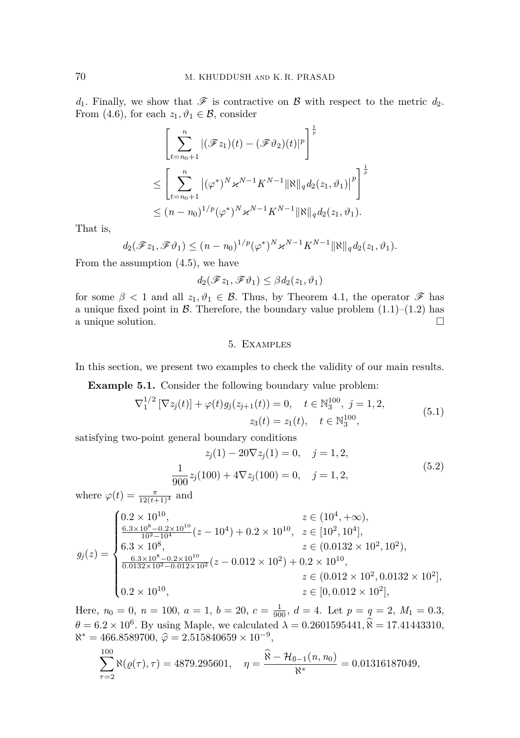$d_1$ . Finally, we show that  $\mathscr F$  is contractive on  $\mathscr B$  with respect to the metric  $d_2$ . From [\(4.6\)](#page-12-1), for each  $z_1, \vartheta_1 \in \mathcal{B}$ , consider

$$
\left[\sum_{t=n_0+1}^{n} |(\mathscr{F}z_1)(t) - (\mathscr{F}\vartheta_2)(t)|^p\right]^{\frac{1}{p}}
$$
  
\n
$$
\leq \left[\sum_{t=n_0+1}^{n} |(\varphi^*)^N \varkappa^{N-1} K^{N-1} ||\aleph||_q d_2(z_1, \vartheta_1)|^p\right]^{\frac{1}{p}}
$$
  
\n
$$
\leq (n-n_0)^{1/p} (\varphi^*)^N \varkappa^{N-1} K^{N-1} ||\aleph||_q d_2(z_1, \vartheta_1).
$$

That is,

$$
d_2(\mathscr{F}z_1,\mathscr{F}\vartheta_1) \le (n-n_0)^{1/p}(\varphi^*)^N \varkappa^{N-1} K^{N-1} \|\aleph\|_q d_2(z_1,\vartheta_1).
$$

From the assumption [\(4.5\)](#page-11-5), we have

$$
d_2(\mathscr{F}z_1, \mathscr{F}\vartheta_1) \leq \beta d_2(z_1, \vartheta_1)
$$

for some  $\beta$  < 1 and all  $z_1, \vartheta_1 \in \mathcal{B}$ . Thus, by Theorem [4.1,](#page-11-3) the operator  $\mathcal{F}$  has a unique fixed point in  $\beta$ . Therefore, the boundary value problem  $(1.1)$ – $(1.2)$  has a unique solution.  $\Box$ 

# <span id="page-13-1"></span><span id="page-13-0"></span>5. Examples

<span id="page-13-2"></span>In this section, we present two examples to check the validity of our main results.

**Example 5.1.** Consider the following boundary value problem:

$$
\nabla_1^{1/2} \left[ \nabla z_j(t) \right] + \varphi(t) g_j(z_{j+1}(t)) = 0, \quad t \in \mathbb{N}_3^{100}, \ j = 1, 2,
$$
  

$$
z_3(t) = z_1(t), \quad t \in \mathbb{N}_3^{100}, \tag{5.1}
$$

satisfying two-point general boundary conditions

$$
z_j(1) - 20\nabla z_j(1) = 0, \quad j = 1, 2,
$$
  

$$
\frac{1}{900}z_j(100) + 4\nabla z_j(100) = 0, \quad j = 1, 2,
$$
 (5.2)

where  $\varphi(t) = \frac{\pi}{12(t+1)^4}$  and

$$
g_j(z) = \begin{cases} 0.2 \times 10^{10}, & z \in (10^4, +\infty), \\ \frac{6.3 \times 10^8 - 0.2 \times 10^{10}}{10^2 - 10^4} (z - 10^4) + 0.2 \times 10^{10}, & z \in [10^2, 10^4], \\ 6.3 \times 10^8, & z \in (0.0132 \times 10^2, 10^2), \\ \frac{6.3 \times 10^8 - 0.2 \times 10^{10}}{0.0132 \times 10^2 - 0.012 \times 10^2} (z - 0.012 \times 10^2) + 0.2 \times 10^{10}, & z \in (0.012 \times 10^2, 0.0132 \times 10^2], \\ 0.2 \times 10^{10}, & z \in [0, 0.012 \times 10^2], \end{cases}
$$

Here,  $n_0 = 0$ ,  $n = 100$ ,  $a = 1$ ,  $b = 20$ ,  $c = \frac{1}{900}$ ,  $d = 4$ . Let  $p = q = 2$ ,  $M_1 = 0.3$ ,  $\theta = 6.2 \times 10^6$ . By using Maple, we calculated  $\lambda = 0.2601595441$ ,  $\hat{\lambda} = 17.41443310$ ,  $\aleph^* = 466.8589700, \ \hat{\varphi} = 2.515840659 \times 10^{-9},$ 

$$
\sum_{\tau=2}^{100} \aleph(\varrho(\tau), \tau) = 4879.295601, \quad \eta = \frac{\widehat{\aleph} - \mathcal{H}_{B-1}(n, n_0)}{\aleph^*} = 0.01316187049,
$$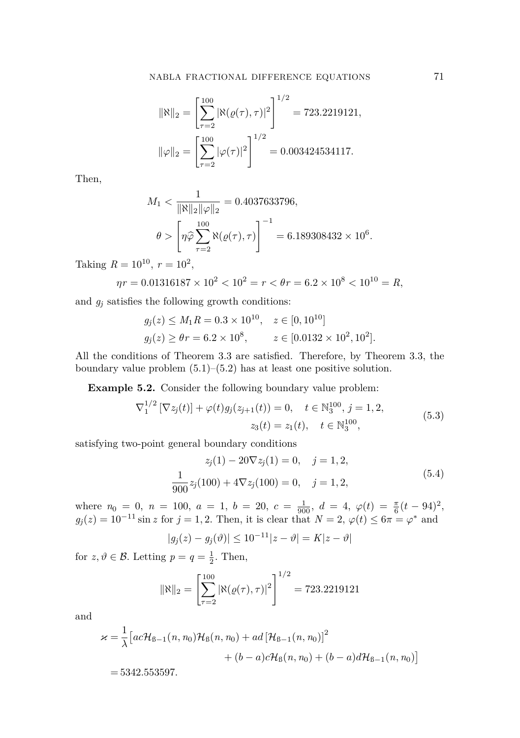$$
\|\aleph\|_2 = \left[\sum_{\tau=2}^{100} |\aleph(\varrho(\tau), \tau)|^2\right]^{1/2} = 723.2219121,
$$
  

$$
\|\varphi\|_2 = \left[\sum_{\tau=2}^{100} |\varphi(\tau)|^2\right]^{1/2} = 0.003424534117.
$$

Then,

$$
M_1 < \frac{1}{\|\aleph\|_2 \|\varphi\|_2} = 0.4037633796,
$$
\n
$$
\theta > \left[ \eta \hat{\varphi} \sum_{\tau=2}^{100} \aleph(\varrho(\tau), \tau) \right]^{-1} = 6.189308432 \times 10^6.
$$

Taking  $R = 10^{10}$ ,  $r = 10^2$ ,

$$
\eta r = 0.01316187 \times 10^2 < 10^2 = r < \theta r = 6.2 \times 10^8 < 10^{10} = R,
$$

and  $g_j$  satisfies the following growth conditions:

$$
g_j(z) \le M_1 R = 0.3 \times 10^{10}, \quad z \in [0, 10^{10}]
$$
  
 $g_j(z) \ge \theta r = 6.2 \times 10^8, \qquad z \in [0.0132 \times 10^2, 10^2].$ 

All the conditions of Theorem [3.3](#page-7-2) are satisfied. Therefore, by Theorem [3.3,](#page-7-2) the boundary value problem  $(5.1)$ – $(5.2)$  has at least one positive solution.

<span id="page-14-2"></span>**Example 5.2.** Consider the following boundary value problem:

$$
\nabla_1^{1/2} \left[ \nabla z_j(t) \right] + \varphi(t) g_j(z_{j+1}(t)) = 0, \quad t \in \mathbb{N}_3^{100}, \ j = 1, 2,
$$
  
\n
$$
z_3(t) = z_1(t), \quad t \in \mathbb{N}_3^{100}, \tag{5.3}
$$

satisfying two-point general boundary conditions

<span id="page-14-1"></span><span id="page-14-0"></span>
$$
z_j(1) - 20\nabla z_j(1) = 0, \quad j = 1, 2,
$$
  

$$
\frac{1}{900}z_j(100) + 4\nabla z_j(100) = 0, \quad j = 1, 2,
$$
 (5.4)

where  $n_0 = 0$ ,  $n = 100$ ,  $a = 1$ ,  $b = 20$ ,  $c = \frac{1}{900}$ ,  $d = 4$ ,  $\varphi(t) = \frac{\pi}{6}(t - 94)^2$ ,  $g_j(z) = 10^{-11} \sin z$  for  $j = 1, 2$ . Then, it is clear that  $N = 2$ ,  $\varphi(t) \leq 6\pi = \varphi^*$  and

$$
|g_j(z) - g_j(\theta)| \le 10^{-11} |z - \theta| = K|z - \theta|
$$

for  $z, \vartheta \in \mathcal{B}$ . Letting  $p = q = \frac{1}{2}$ . Then,

$$
\|\aleph\|_2 = \left[\sum_{\tau=2}^{100} |\aleph(\varrho(\tau), \tau)|^2\right]^{1/2} = 723.2219121
$$

and

$$
\varkappa = \frac{1}{\lambda} \left[ ac\mathcal{H}_{B-1}(n, n_0)\mathcal{H}_B(n, n_0) + ad\left[\mathcal{H}_{B-1}(n, n_0)\right]^2 \right. \\ \left. + (b-a)c\mathcal{H}_B(n, n_0) + (b-a)d\mathcal{H}_{B-1}(n, n_0) \right]
$$
  
= 5342.553597.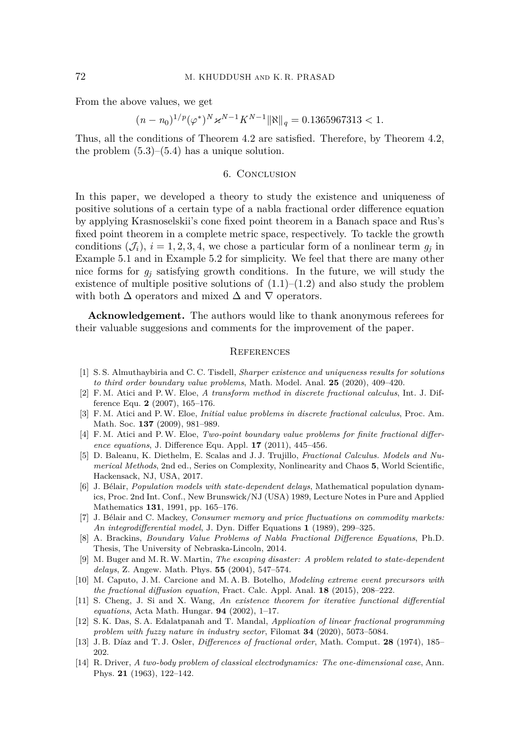From the above values, we get

$$
(n - n_0)^{1/p} (\varphi^*)^N \varkappa^{N-1} K^{N-1} \|\aleph\|_q = 0.1365967313 < 1.
$$

Thus, all the conditions of Theorem [4.2](#page-11-6) are satisfied. Therefore, by Theorem [4.2,](#page-11-6) the problem  $(5.3)$ – $(5.4)$  has a unique solution.

#### 6. Conclusion

In this paper, we developed a theory to study the existence and uniqueness of positive solutions of a certain type of a nabla fractional order difference equation by applying Krasnoselskii's cone fixed point theorem in a Banach space and Rus's fixed point theorem in a complete metric space, respectively. To tackle the growth conditions  $(\mathcal{J}_i)$ ,  $i = 1, 2, 3, 4$ , we chose a particular form of a nonlinear term  $g_j$  in Example [5.1](#page-13-2) and in Example [5.2](#page-14-2) for simplicity. We feel that there are many other nice forms for  $g_j$  satisfying growth conditions. In the future, we will study the existence of multiple positive solutions of  $(1.1)$ – $(1.2)$  and also study the problem with both  $\Delta$  operators and mixed  $\Delta$  and  $\nabla$  operators.

**Acknowledgement.** The authors would like to thank anonymous referees for their valuable suggesions and comments for the improvement of the paper.

#### <span id="page-15-0"></span>**REFERENCES**

- <span id="page-15-13"></span>[1] S. S. Almuthaybiria and C. C. Tisdell, *Sharper existence and uniqueness results for solutions to third order boundary value problems*, Math. Model. Anal. **25** (2020), 409–420.
- <span id="page-15-5"></span>[2] F. M. Atici and P.W. Eloe, *A transform method in discrete fractional calculus*, Int. J. Difference Equ. **2** (2007), 165–176.
- [3] F. M. Atici and P.W. Eloe, *Initial value problems in discrete fractional calculus*, Proc. Am. Math. Soc. **137** (2009), 981–989.
- <span id="page-15-6"></span>[4] F. M. Atici and P.W. Eloe, *Two-point boundary value problems for finite fractional difference equations*, J. Difference Equ. Appl. **17** (2011), 445–456.
- <span id="page-15-1"></span>[5] D. Baleanu, K. Diethelm, E. Scalas and J. J. Trujillo, *Fractional Calculus. Models and Numerical Methods*, 2nd ed., Series on Complexity, Nonlinearity and Chaos **5**, World Scientific, Hackensack, NJ, USA, 2017.
- <span id="page-15-7"></span>[6] J. Bélair, *Population models with state-dependent delays*, Mathematical population dynamics, Proc. 2nd Int. Conf., New Brunswick/NJ (USA) 1989, Lecture Notes in Pure and Applied Mathematics **131**, 1991, pp. 165–176.
- <span id="page-15-8"></span>[7] J. Bélair and C. Mackey, *Consumer memory and price fluctuations on commodity markets: An integrodifferential model*, J. Dyn. Differ Equations **1** (1989), 299–325.
- <span id="page-15-12"></span>[8] A. Brackins, *Boundary Value Problems of Nabla Fractional Difference Equations*, Ph.D. Thesis, The University of Nebraska-Lincoln, 2014.
- <span id="page-15-9"></span>[9] M. Buger and M. R.W. Martin, *The escaping disaster: A problem related to state-dependent delays*, Z. Angew. Math. Phys. **55** (2004), 547–574.
- <span id="page-15-2"></span>[10] M. Caputo, J. M. Carcione and M. A. B. Botelho, *Modeling extreme event precursors with the fractional diffusion equation*, Fract. Calc. Appl. Anal. **18** (2015), 208–222.
- <span id="page-15-11"></span>[11] S. Cheng, J. Si and X. Wang, *An existence theorem for iterative functional differential equations*, Acta Math. Hungar. **94** (2002), 1–17.
- <span id="page-15-3"></span>[12] S. K. Das, S. A. Edalatpanah and T. Mandal, *Application of linear fractional programming problem with fuzzy nature in industry sector*, Filomat **34** (2020), 5073–5084.
- <span id="page-15-4"></span>[13] J. B. Díaz and T. J. Osler, *Differences of fractional order*, Math. Comput. **28** (1974), 185– 202.
- <span id="page-15-10"></span>[14] R. Driver, *A two-body problem of classical electrodynamics: The one-dimensional case*, Ann. Phys. **21** (1963), 122–142.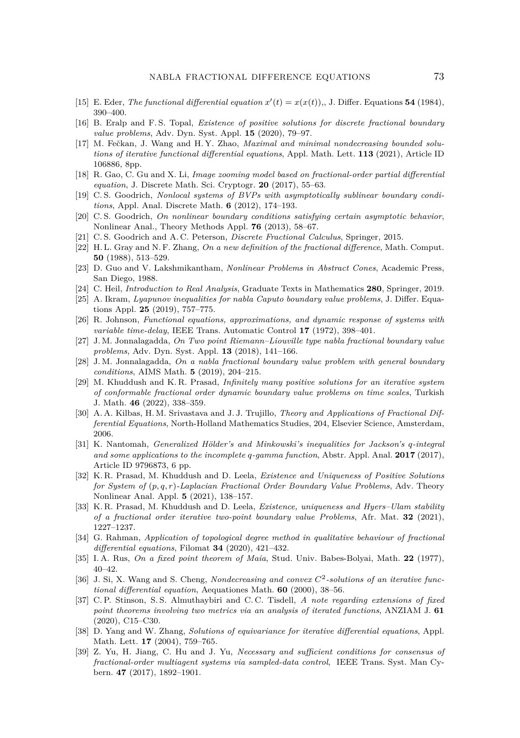- <span id="page-16-12"></span>[15] E. Eder, *The functional differential equation*  $x'(t) = x(x(t))$ , J. Differ. Equations **54** (1984), 390–400.
- <span id="page-16-16"></span>[16] B. Eralp and F. S. Topal, *Existence of positive solutions for discrete fractional boundary value problems*, Adv. Dyn. Syst. Appl. **15** (2020), 79–97.
- <span id="page-16-13"></span>[17] M. Fečkan, J. Wang and H.Y. Zhao, *Maximal and minimal nondecreasing bounded solutions of iterative functional differential equations*, Appl. Math. Lett. **113** (2021), Article ID 106886, 8pp.
- <span id="page-16-0"></span>[18] R. Gao, C. Gu and X. Li, *Image zooming model based on fractional-order partial differential equation*, J. Discrete Math. Sci. Cryptogr. **20** (2017), 55–63.
- <span id="page-16-7"></span>[19] C. S. Goodrich, *Nonlocal systems of BVPs with asymptotically sublinear boundary conditions*, Appl. Anal. Discrete Math. **6** (2012), 174–193.
- [20] C. S. Goodrich, *On nonlinear boundary conditions satisfying certain asymptotic behavior*, Nonlinear Anal., Theory Methods Appl. **76** (2013), 58–67.
- <span id="page-16-8"></span>[21] C. S. Goodrich and A. C. Peterson, *Discrete Fractional Calculus*, Springer, 2015.
- <span id="page-16-6"></span>[22] H. L. Gray and N. F. Zhang, *On a new definition of the fractional difference*, Math. Comput. **50** (1988), 513–529.
- <span id="page-16-20"></span>[23] D. Guo and V. Lakshmikantham, *Nonlinear Problems in Abstract Cones*, Academic Press, San Diego, 1988.
- <span id="page-16-18"></span>[24] C. Heil, *Introduction to Real Analysis*, Graduate Texts in Mathematics **280**, Springer, 2019.
- <span id="page-16-17"></span>[25] A. Ikram, *Lyapunov inequalities for nabla Caputo boundary value problems*, J. Differ. Equations Appl. **25** (2019), 757–775.
- <span id="page-16-9"></span>[26] R. Johnson, *Functional equations, approximations, and dynamic response of systems with variable time-delay*, IEEE Trans. Automatic Control **17** (1972), 398–401.
- <span id="page-16-15"></span>[27] J. M. Jonnalagadda, *On Two point Riemann–Liouville type nabla fractional boundary value problems*, Adv. Dyn. Syst. Appl. **13** (2018), 141–166.
- <span id="page-16-19"></span>[28] J. M. Jonnalagadda, *On a nabla fractional boundary value problem with general boundary conditions*, AIMS Math. **5** (2019), 204–215.
- <span id="page-16-3"></span>[29] M. Khuddush and K. R. Prasad, *Infinitely many positive solutions for an iterative system of conformable fractional order dynamic boundary value problems on time scales*, Turkish J. Math. **46** (2022), 338–359.
- <span id="page-16-1"></span>[30] A. A. Kilbas, H. M. Srivastava and J. J. Trujillo, *Theory and Applications of Fractional Differential Equations*, North-Holland Mathematics Studies, 204, Elsevier Science, Amsterdam, 2006.
- <span id="page-16-21"></span>[31] K. Nantomah, *Generalized Hölder's and Minkowski's inequalities for Jackson's q-integral and some applications to the incomplete q-gamma function*, Abstr. Appl. Anal. **2017** (2017), Article ID 9796873, 6 pp.
- <span id="page-16-4"></span>[32] K. R. Prasad, M. Khuddush and D. Leela, *Existence and Uniqueness of Positive Solutions for System of* (*p, q, r*)*-Laplacian Fractional Order Boundary Value Problems*, Adv. Theory Nonlinear Anal. Appl. **5** (2021), 138–157.
- <span id="page-16-14"></span>[33] K. R. Prasad, M. Khuddush and D. Leela, *Existence, uniqueness and Hyers–Ulam stability of a fractional order iterative two-point boundary value Problems*, Afr. Mat. **32** (2021), 1227–1237.
- <span id="page-16-5"></span>[34] G. Rahman, *Application of topological degree method in qualitative behaviour of fractional differential equations*, Filomat **34** (2020), 421–432.
- <span id="page-16-23"></span>[35] I. A. Rus, *On a fixed point theorem of Maia*, Stud. Univ. Babes-Bolyai, Math. **22** (1977), 40–42.
- <span id="page-16-11"></span>[36] J. Si, X. Wang and S. Cheng, *Nondecreasing and convex C*<sup>2</sup> *-solutions of an iterative functional differential equation*, Aequationes Math. **60** (2000), 38–56.
- <span id="page-16-22"></span>[37] C. P. Stinson, S. S. Almuthaybiri and C. C. Tisdell, *A note regarding extensions of fixed point theorems involving two metrics via an analysis of iterated functions*, ANZIAM J. **61** (2020), C15–C30.
- <span id="page-16-10"></span>[38] D. Yang and W. Zhang, *Solutions of equivariance for iterative differential equations*, Appl. Math. Lett. **17** (2004), 759–765.
- <span id="page-16-2"></span>[39] Z. Yu, H. Jiang, C. Hu and J. Yu, *Necessary and sufficient conditions for consensus of fractional-order multiagent systems via sampled-data control*, IEEE Trans. Syst. Man Cybern. **47** (2017), 1892–1901.